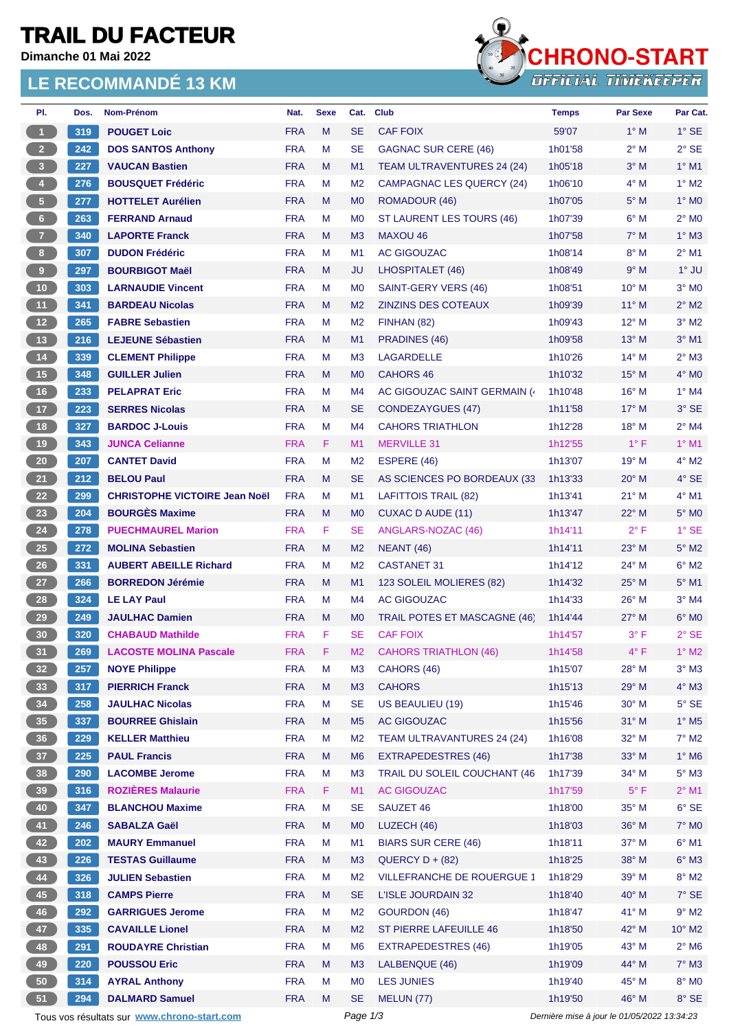# **TRAIL DU FACTEUR**

**Dimanche 01 Mai 2022**

## **LE RECOMMANDÉ 13 KM**



| PI.                     | Dos. | Nom-Prénom                                  | Nat.       | <b>Sexe</b> | Cat.           | <b>Club</b>                      | <b>Temps</b>                                | <b>Par Sexe</b> | Par Cat.                   |
|-------------------------|------|---------------------------------------------|------------|-------------|----------------|----------------------------------|---------------------------------------------|-----------------|----------------------------|
| $\mathbf{1}$            | 319  | <b>POUGET Loic</b>                          | <b>FRA</b> | M           | <b>SE</b>      | <b>CAF FOIX</b>                  | 59'07                                       | $1^\circ$ M     | $1^\circ$ SE               |
| 2 <sup>7</sup>          | 242  | <b>DOS SANTOS Anthony</b>                   | <b>FRA</b> | M           | <b>SE</b>      | <b>GAGNAC SUR CERE (46)</b>      | 1h01'58                                     | $2^{\circ}$ M   | $2^{\circ}$ SE             |
| $\overline{\mathbf{3}}$ | 227  | <b>VAUCAN Bastien</b>                       | <b>FRA</b> | M           | M1             | TEAM ULTRAVENTURES 24 (24)       | 1h05'18                                     | $3^\circ$ M     | $1^\circ$ M1               |
| $\overline{4}$          | 276  | <b>BOUSQUET Frédéric</b>                    | <b>FRA</b> | м           | M <sub>2</sub> | <b>CAMPAGNAC LES QUERCY (24)</b> | 1h06'10                                     | $4^\circ$ M     | $1^\circ$ M2               |
| 5 <sub>1</sub>          | 277  | <b>HOTTELET Aurélien</b>                    | <b>FRA</b> | M           | M <sub>0</sub> | ROMADOUR (46)                    | 1h07'05                                     | $5^\circ$ M     | $1^\circ$ MO               |
| 6 <sup>1</sup>          | 263  | <b>FERRAND Arnaud</b>                       | <b>FRA</b> | M           | M <sub>0</sub> | ST LAURENT LES TOURS (46)        | 1h07'39                                     | $6^\circ$ M     | $2^{\circ}$ M <sub>0</sub> |
| $\mathbf{7}$            | 340  | <b>LAPORTE Franck</b>                       | <b>FRA</b> | M           | M <sub>3</sub> | <b>MAXOU 46</b>                  | 1h07'58                                     | $7^\circ$ M     | $1^\circ$ M3               |
| 8 <sub>1</sub>          | 307  | <b>DUDON Frédéric</b>                       | <b>FRA</b> | M           | M1             | <b>AC GIGOUZAC</b>               | 1h08'14                                     | $8^\circ$ M     | $2^{\circ}$ M1             |
| $\pmb{9}$               | 297  | <b>BOURBIGOT Maël</b>                       | <b>FRA</b> | M           | <b>JU</b>      | LHOSPITALET (46)                 | 1h08'49                                     | 9° M            | $1^\circ$ JU               |
| 10 <sup>°</sup>         | 303  | <b>LARNAUDIE Vincent</b>                    | <b>FRA</b> | M           | M <sub>0</sub> | SAINT-GERY VERS (46)             | 1h08'51                                     | $10^{\circ}$ M  | $3°$ MO                    |
| 11                      | 341  | <b>BARDEAU Nicolas</b>                      | <b>FRA</b> | M           | M <sub>2</sub> | <b>ZINZINS DES COTEAUX</b>       | 1h09'39                                     | $11^{\circ}$ M  | $2^{\circ}$ M2             |
| $12$                    | 265  | <b>FABRE Sebastien</b>                      | <b>FRA</b> | м           | M <sub>2</sub> | FINHAN (82)                      | 1h09'43                                     | $12^{\circ}$ M  | $3°$ M2                    |
| 13                      | 216  | <b>LEJEUNE Sébastien</b>                    | <b>FRA</b> | M           | M1             | PRADINES (46)                    | 1h09'58                                     | $13^\circ$ M    | $3°$ M1                    |
| $14$                    | 339  | <b>CLEMENT Philippe</b>                     | <b>FRA</b> | M           | M <sub>3</sub> | <b>LAGARDELLE</b>                | 1h10'26                                     | $14^{\circ}$ M  | $2^{\circ}$ M3             |
| 15                      | 348  | <b>GUILLER Julien</b>                       | <b>FRA</b> | M           | M <sub>0</sub> | <b>CAHORS 46</b>                 | 1h10'32                                     | $15^{\circ}$ M  | $4^\circ$ MO               |
| 16                      | 233  | <b>PELAPRAT Eric</b>                        | <b>FRA</b> | M           | M4             | AC GIGOUZAC SAINT GERMAIN (      | 1h10'48                                     | 16° M           | $1^\circ$ M4               |
| 17                      | 223  | <b>SERRES Nicolas</b>                       | <b>FRA</b> | M           | <b>SE</b>      | <b>CONDEZAYGUES (47)</b>         | 1h11'58                                     | $17^{\circ}$ M  | $3^\circ$ SE               |
| 18                      | 327  | <b>BARDOC J-Louis</b>                       | <b>FRA</b> | M           | M <sub>4</sub> | <b>CAHORS TRIATHLON</b>          | 1h12'28                                     | 18° M           | $2^{\circ}$ M4             |
| 19                      | 343  | <b>JUNCA Celianne</b>                       | <b>FRA</b> | F           | M1             | <b>MERVILLE 31</b>               | 1h12'55                                     | $1^{\circ}$ F   | $1^\circ$ M1               |
| ${\bf 20}$              | 207  | <b>CANTET David</b>                         | <b>FRA</b> | M           | M <sub>2</sub> | ESPERE (46)                      | 1h13'07                                     | 19° M           | $4^{\circ}$ M2             |
| 21                      | 212  | <b>BELOU Paul</b>                           | <b>FRA</b> | M           | <b>SE</b>      | AS SCIENCES PO BORDEAUX (33      | 1h13'33                                     | $20^\circ$ M    | $4°$ SE                    |
| 22                      | 299  | <b>CHRISTOPHE VICTOIRE Jean Noël</b>        | <b>FRA</b> | M           | M1             | <b>LAFITTOIS TRAIL (82)</b>      | 1h13'41                                     | $21^{\circ}$ M  | $4^{\circ}$ M1             |
| 23                      | 204  | <b>BOURGÈS Maxime</b>                       | <b>FRA</b> | M           |                | CUXAC D AUDE (11)                |                                             | $22^{\circ}$ M  | $5^\circ$ MO               |
|                         |      |                                             |            | F           | M <sub>0</sub> |                                  | 1h13'47                                     | $2^{\circ}$ F   | $1^\circ$ SE               |
| 24                      | 278  | <b>PUECHMAUREL Marion</b>                   | <b>FRA</b> | M           | <b>SE</b>      | ANGLARS-NOZAC (46)               | 1h14'11                                     |                 |                            |
| $25\phantom{.0}$        | 272  | <b>MOLINA Sebastien</b>                     | <b>FRA</b> |             | M <sub>2</sub> | <b>NEANT</b> (46)                | 1h14'11                                     | $23^\circ$ M    | $5^\circ$ M2               |
| 26                      | 331  | <b>AUBERT ABEILLE Richard</b>               | <b>FRA</b> | м           | M <sub>2</sub> | <b>CASTANET 31</b>               | 1h14'12                                     | 24° M           | $6^{\circ}$ M2             |
| 27                      | 266  | <b>BORREDON Jérémie</b>                     | <b>FRA</b> | M           | M1             | 123 SOLEIL MOLIERES (82)         | 1h14'32                                     | 25° M           | $5^\circ$ M1               |
| 28                      | 324  | <b>LE LAY Paul</b>                          | <b>FRA</b> | M           | M <sub>4</sub> | <b>AC GIGOUZAC</b>               | 1h14'33                                     | $26^{\circ}$ M  | $3°$ M4                    |
| 29                      | 249  | <b>JAULHAC Damien</b>                       | <b>FRA</b> | M           | M <sub>0</sub> | TRAIL POTES ET MASCAGNE (46)     | 1h14'44                                     | $27^\circ$ M    | $6^\circ$ MO               |
| 30 <sub>o</sub>         | 320  | <b>CHABAUD Mathilde</b>                     | <b>FRA</b> | F           | <b>SE</b>      | <b>CAF FOIX</b>                  | 1h14'57                                     | $3^{\circ}$ F   | $2°$ SE                    |
| 31                      | 269  | <b>LACOSTE MOLINA Pascale</b>               | <b>FRA</b> | F           | M <sub>2</sub> | <b>CAHORS TRIATHLON (46)</b>     | 1h14'58                                     | $4^{\circ}$ F   | $1^\circ$ M2               |
| 32 <sub>2</sub>         | 257  | <b>NOYE Philippe</b>                        | <b>FRA</b> | M           | M <sub>3</sub> | CAHORS (46)                      | 1h15'07                                     | $28^{\circ}$ M  | $3°$ M $3$                 |
| 33 <sup>°</sup>         | 317  | <b>PIERRICH Franck</b>                      | <b>FRA</b> | M           | M3             | <b>CAHORS</b>                    | 1h15'13                                     | 29° M           | $4^\circ$ M3               |
| 34                      | 258  | <b>JAULHAC Nicolas</b>                      | <b>FRA</b> | М           | <b>SE</b>      | US BEAULIEU (19)                 | 1h15'46                                     | $30^\circ$ M    | $5^\circ$ SE               |
| 35                      | 337  | <b>BOURREE Ghislain</b>                     | <b>FRA</b> | M           | M <sub>5</sub> | AC GIGOUZAC                      | 1h15'56                                     | 31° M           | $1^\circ$ M <sub>5</sub>   |
| 36 <sup>°</sup>         | 229  | <b>KELLER Matthieu</b>                      | <b>FRA</b> | М           | M <sub>2</sub> | TEAM ULTRAVANTURES 24 (24)       | 1h16'08                                     | 32° M           | $7^\circ$ M2               |
| 37 <sup>°</sup>         | 225  | <b>PAUL Francis</b>                         | <b>FRA</b> | M           | M <sub>6</sub> | <b>EXTRAPEDESTRES (46)</b>       | 1h17'38                                     | 33° M           | $1^\circ$ M6               |
| 38                      | 290  | <b>LACOMBE Jerome</b>                       | <b>FRA</b> | M           | M <sub>3</sub> | TRAIL DU SOLEIL COUCHANT (46     | 1h17'39                                     | 34° M           | $5^\circ$ M3               |
| 39                      | 316  | <b>ROZIÈRES Malaurie</b>                    | <b>FRA</b> | F.          | M1             | AC GIGOUZAC                      | 1h17'59                                     | $5^{\circ}$ F   | $2^{\circ}$ M1             |
| 40                      | 347  | <b>BLANCHOU Maxime</b>                      | <b>FRA</b> | M           | <b>SE</b>      | SAUZET 46                        | 1h18'00                                     | 35° M           | $6°$ SE                    |
| 41                      | 246  | <b>SABALZA Gaël</b>                         | <b>FRA</b> | M           | M <sub>0</sub> | LUZECH (46)                      | 1h18'03                                     | 36° M           | 7° M0                      |
| 42 <sup>7</sup>         | 202  | <b>MAURY Emmanuel</b>                       | <b>FRA</b> | M           | M1             | <b>BIARS SUR CERE (46)</b>       | 1h18'11                                     | 37° M           | $6^\circ$ M1               |
| 43                      | 226  | <b>TESTAS Guillaume</b>                     | <b>FRA</b> | M           | M3             | $QUERCY D + (82)$                | 1h18'25                                     | 38° M           | $6^\circ$ M3               |
| 44                      | 326  | <b>JULIEN Sebastien</b>                     | <b>FRA</b> | M           | M <sub>2</sub> | VILLEFRANCHE DE ROUERGUE 1       | 1h18'29                                     | 39° M           | $8^\circ$ M2               |
| 45                      | 318  | <b>CAMPS Pierre</b>                         | <b>FRA</b> | M           | <b>SE</b>      | L'ISLE JOURDAIN 32               | 1h18'40                                     | 40° M           | $7°$ SE                    |
| 46                      | 292  | <b>GARRIGUES Jerome</b>                     | <b>FRA</b> | M           | M <sub>2</sub> | GOURDON (46)                     | 1h18'47                                     | $41^{\circ}$ M  | $9°$ M2                    |
| 47                      | 335  | <b>CAVAILLE Lionel</b>                      | <b>FRA</b> | M           | M <sub>2</sub> | <b>ST PIERRE LAFEUILLE 46</b>    | 1h18'50                                     | 42° M           | $10^{\circ}$ M2            |
| 48                      | 291  | <b>ROUDAYRE Christian</b>                   | <b>FRA</b> | М           | M <sub>6</sub> | <b>EXTRAPEDESTRES (46)</b>       | 1h19'05                                     | 43° M           | $2^{\circ}$ M6             |
| 49                      | 220  | <b>POUSSOU Eric</b>                         | <b>FRA</b> | M           | M3             | LALBENQUE (46)                   | 1h19'09                                     | 44° M           | $7^\circ$ M3               |
| 50                      | 314  | <b>AYRAL Anthony</b>                        | <b>FRA</b> | M           | M <sub>0</sub> | <b>LES JUNIES</b>                | 1h19'40                                     | $45^{\circ}$ M  | $8^\circ$ MO               |
| 51                      | 294  | <b>DALMARD Samuel</b>                       | <b>FRA</b> | M           | <b>SE</b>      | MELUN (77)                       | 1h19'50                                     | 46° M           | 8° SE                      |
|                         |      | Tous vos résultats sur www.chrono-start.com |            |             | Page 1/3       |                                  | Dernière mise à jour le 01/05/2022 13:34:23 |                 |                            |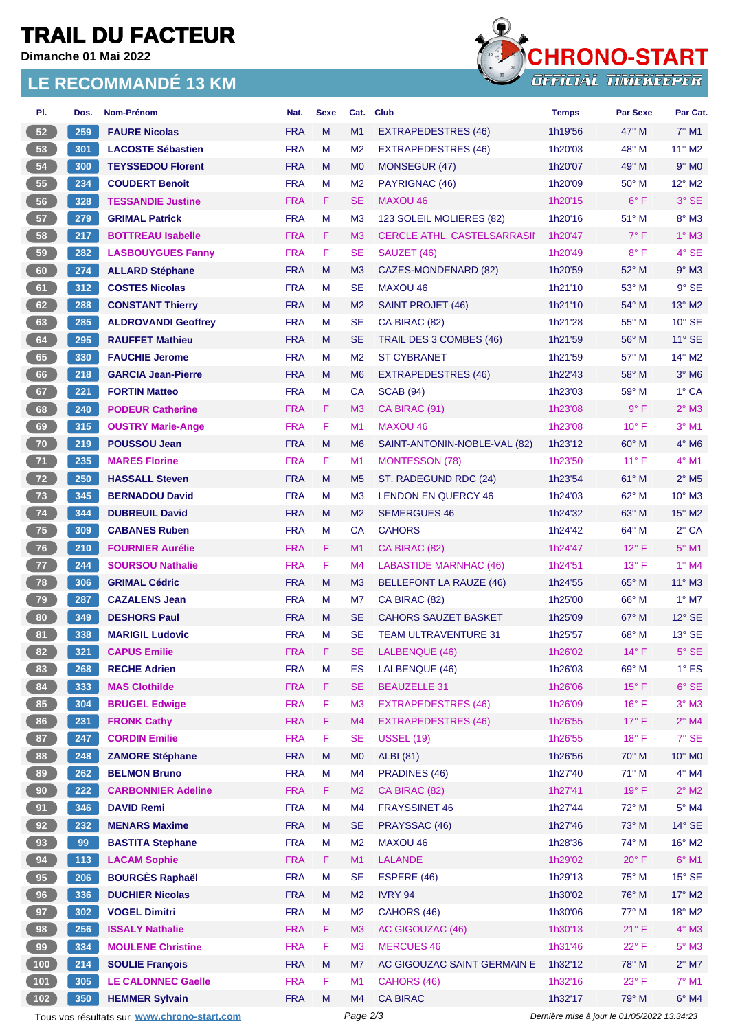# **TRAIL DU FACTEUR**

**Dimanche 01 Mai 2022**

## **LE RECOMMANDÉ 13 KM**



| PI.                                                                                                    | Dos.  | Nom-Prénom                 | Nat.       | <b>Sexe</b> |                | Cat. Club                          | <b>Temps</b> | <b>Par Sexe</b> | Par Cat.                   |
|--------------------------------------------------------------------------------------------------------|-------|----------------------------|------------|-------------|----------------|------------------------------------|--------------|-----------------|----------------------------|
| 52                                                                                                     | 259   | <b>FAURE Nicolas</b>       | <b>FRA</b> | M           | M1             | <b>EXTRAPEDESTRES (46)</b>         | 1h19'56      | $47^\circ$ M    | $7^\circ$ M1               |
| 53                                                                                                     | 301   | <b>LACOSTE Sébastien</b>   | <b>FRA</b> | M           | M <sub>2</sub> | <b>EXTRAPEDESTRES (46)</b>         | 1h20'03      | $48^\circ$ M    | $11^{\circ}$ M2            |
| 54                                                                                                     | 300   | <b>TEYSSEDOU Florent</b>   | <b>FRA</b> | M           | M <sub>0</sub> | MONSEGUR (47)                      | 1h20'07      | 49° M           | $9^\circ$ MO               |
| 55                                                                                                     | 234   | <b>COUDERT Benoit</b>      | <b>FRA</b> | м           | M <sub>2</sub> | PAYRIGNAC (46)                     | 1h20'09      | 50° M           | 12° M2                     |
| 56                                                                                                     | 328   | <b>TESSANDIE Justine</b>   | <b>FRA</b> | F.          | SE             | <b>MAXOU 46</b>                    | 1h20'15      | $6^{\circ}$ F   | 3° SE                      |
| 57                                                                                                     | 279   | <b>GRIMAL Patrick</b>      | <b>FRA</b> | M           | M <sub>3</sub> | 123 SOLEIL MOLIERES (82)           | 1h20'16      | 51° M           | 8° M3                      |
| 58                                                                                                     | 217   | <b>BOTTREAU Isabelle</b>   | <b>FRA</b> | F           | M <sub>3</sub> | <b>CERCLE ATHL, CASTELSARRASII</b> | 1h20'47      | $7^\circ$ F     | $1^\circ$ M3               |
| 59                                                                                                     | 282   | <b>LASBOUYGUES Fanny</b>   | <b>FRA</b> | F           | SE             | SAUZET (46)                        | 1h20'49      | $8^{\circ}$ F   | 4° SE                      |
| 60                                                                                                     | 274   | <b>ALLARD Stéphane</b>     | <b>FRA</b> | M           | M <sub>3</sub> | <b>CAZES-MONDENARD (82)</b>        | 1h20'59      | 52° M           | $9°$ M3                    |
| 61                                                                                                     | 312   | <b>COSTES Nicolas</b>      | <b>FRA</b> | м           | <b>SE</b>      | MAXOU 46                           | 1h21'10      | 53° M           | $9°$ SE                    |
| 62                                                                                                     | 288   | <b>CONSTANT Thierry</b>    | <b>FRA</b> | M           | M <sub>2</sub> | <b>SAINT PROJET (46)</b>           | 1h21'10      | 54° M           | 13° M2                     |
| 63                                                                                                     | 285   | <b>ALDROVANDI Geoffrey</b> | <b>FRA</b> | М           | <b>SE</b>      | CA BIRAC (82)                      | 1h21'28      | 55° M           | $10^{\circ}$ SE            |
| 64                                                                                                     | 295   | <b>RAUFFET Mathieu</b>     | <b>FRA</b> | M           | SE             | TRAIL DES 3 COMBES (46)            | 1h21'59      | 56° M           | $11^\circ$ SE              |
| 65                                                                                                     | 330   | <b>FAUCHIE Jerome</b>      | <b>FRA</b> | М           | M <sub>2</sub> | <b>ST CYBRANET</b>                 | 1h21'59      | 57° M           | $14^{\circ}$ M2            |
| 66                                                                                                     | 218   | <b>GARCIA Jean-Pierre</b>  | <b>FRA</b> | M           | M <sub>6</sub> | <b>EXTRAPEDESTRES (46)</b>         | 1h22'43      | 58° M           | $3^\circ$ M6               |
| 67                                                                                                     | 221   | <b>FORTIN Matteo</b>       | <b>FRA</b> | М           | CA             | <b>SCAB (94)</b>                   | 1h23'03      | 59° M           | 1° CA                      |
| 68                                                                                                     | 240   | <b>PODEUR Catherine</b>    | <b>FRA</b> | F.          | M <sub>3</sub> | CA BIRAC (91)                      | 1h23'08      | $9^{\circ}$ F   | $2^{\circ}$ M3             |
| 69                                                                                                     | 315   | <b>OUSTRY Marie-Ange</b>   | <b>FRA</b> | F           | M1             | <b>MAXOU 46</b>                    | 1h23'08      | $10^{\circ}$ F  | $3°$ M1                    |
| 70                                                                                                     | 219   | <b>POUSSOU Jean</b>        | <b>FRA</b> | M           | M <sub>6</sub> | SAINT-ANTONIN-NOBLE-VAL (82)       | 1h23'12      | $60^\circ$ M    | $4^\circ$ M6               |
| 71                                                                                                     | 235   | <b>MARES Florine</b>       | <b>FRA</b> | F           | M1             | <b>MONTESSON (78)</b>              | 1h23'50      | $11^{\circ}$ F  | $4^{\circ}$ M1             |
| 72                                                                                                     | 250   | <b>HASSALL Steven</b>      | <b>FRA</b> | M           | M <sub>5</sub> | ST. RADEGUND RDC (24)              | 1h23'54      | 61° M           | $2^{\circ}$ M <sub>5</sub> |
| 73                                                                                                     | 345   | <b>BERNADOU David</b>      | <b>FRA</b> | М           | M <sub>3</sub> | <b>LENDON EN QUERCY 46</b>         | 1h24'03      | 62° M           | $10^{\circ}$ M3            |
| 74                                                                                                     | 344   | <b>DUBREUIL David</b>      | <b>FRA</b> | M           | M <sub>2</sub> | <b>SEMERGUES 46</b>                | 1h24'32      | $63^\circ$ M    | $15^\circ$ M2              |
| 75                                                                                                     | 309   | <b>CABANES Ruben</b>       | <b>FRA</b> | M           | CA             | <b>CAHORS</b>                      | 1h24'42      | 64° M           | $2°$ CA                    |
| 76                                                                                                     | 210   | <b>FOURNIER Aurélie</b>    | <b>FRA</b> | F           | M1             | CA BIRAC (82)                      | 1h24'47      | $12^{\circ}$ F  | $5^\circ$ M1               |
| 77                                                                                                     | 244   | <b>SOURSOU Nathalie</b>    | <b>FRA</b> | F           | M4             | <b>LABASTIDE MARNHAC (46)</b>      | 1h24'51      | $13^{\circ}$ F  | $1^\circ$ M4               |
| 78                                                                                                     | 306   | <b>GRIMAL Cédric</b>       | <b>FRA</b> | M           | M <sub>3</sub> | <b>BELLEFONT LA RAUZE (46)</b>     | 1h24'55      | $65^\circ$ M    | $11^\circ$ M3              |
| 79                                                                                                     | 287   | <b>CAZALENS Jean</b>       | <b>FRA</b> | м           | M7             | CA BIRAC (82)                      | 1h25'00      | 66° M           | $1^\circ$ M7               |
| 80                                                                                                     | 349   | <b>DESHORS Paul</b>        | <b>FRA</b> | M           | SE             | <b>CAHORS SAUZET BASKET</b>        | 1h25'09      | 67° M           | $12^{\circ}$ SE            |
| 81                                                                                                     | 338   | <b>MARIGIL Ludovic</b>     | <b>FRA</b> | м           | SE             | <b>TEAM ULTRAVENTURE 31</b>        | 1h25'57      | $68^{\circ}$ M  | $13^\circ$ SE              |
| 82                                                                                                     | 321   | <b>CAPUS Emilie</b>        | <b>FRA</b> | F.          | SE.            | LALBENQUE (46)                     | 1h26'02      | $14^{\circ}$ F  | $5^\circ$ SE               |
| 83                                                                                                     | 268   | <b>RECHE Adrien</b>        | <b>FRA</b> | M           | ES             | LALBENQUE (46)                     | 1h26'03      | 69° M           | $1^\circ$ ES               |
| 84                                                                                                     | 333   | <b>MAS Clothilde</b>       | <b>FRA</b> | F           | <b>SE</b>      | <b>BEAUZELLE 31</b>                | 1h26'06      | $15^{\circ}$ F  | $6^{\circ}$ SE             |
| 85                                                                                                     | 304   | <b>BRUGEL Edwige</b>       | <b>FRA</b> | F           | M <sub>3</sub> | <b>EXTRAPEDESTRES (46)</b>         | 1h26'09      | $16^{\circ}$ F  | $3°$ M $3$                 |
| 86                                                                                                     | 231   | <b>FRONK Cathy</b>         | <b>FRA</b> | F           | M4             | <b>EXTRAPEDESTRES (46)</b>         | 1h26'55      | $17^{\circ}$ F  | $2^{\circ}$ M4             |
| 87                                                                                                     | 247   | <b>CORDIN Emilie</b>       | <b>FRA</b> | F           | <b>SE</b>      | <b>USSEL (19)</b>                  | 1h26'55      | $18^{\circ}$ F  | 7° SE                      |
| 88                                                                                                     | 248   | <b>ZAMORE Stéphane</b>     | <b>FRA</b> | M           | M <sub>0</sub> | <b>ALBI</b> (81)                   | 1h26'56      | 70° M           | 10° MO                     |
| 89                                                                                                     | 262   | <b>BELMON Bruno</b>        | <b>FRA</b> | M           | M <sub>4</sub> | PRADINES (46)                      | 1h27'40      | $71^\circ$ M    | $4^\circ$ M4               |
| 90                                                                                                     | 222   | <b>CARBONNIER Adeline</b>  | <b>FRA</b> | F           | M <sub>2</sub> | CA BIRAC (82)                      | 1h27'41      | $19°$ F         | $2^{\circ}$ M2             |
| 91                                                                                                     | 346   | <b>DAVID Remi</b>          | <b>FRA</b> | M           | M <sub>4</sub> | <b>FRAYSSINET 46</b>               | 1h27'44      | 72° M           | $5^{\circ}$ M4             |
|                                                                                                        | 232   |                            |            | M           | <b>SE</b>      |                                    | 1h27'46      | 73° M           | $14^{\circ}$ SE            |
| 92                                                                                                     |       | <b>MENARS Maxime</b>       | <b>FRA</b> |             |                | PRAYSSAC (46)                      |              | 74° M           |                            |
| 93                                                                                                     | 99    | <b>BASTITA Stephane</b>    | <b>FRA</b> | M           | M <sub>2</sub> | MAXOU 46                           | 1h28'36      |                 | 16° M2                     |
| 94                                                                                                     | $113$ | <b>LACAM Sophie</b>        | <b>FRA</b> | F           | M1             | <b>LALANDE</b>                     | 1h29'02      | $20^{\circ}$ F  | $6^{\circ}$ M1             |
| 95 <sub>o</sub>                                                                                        | 206   | <b>BOURGÈS Raphaël</b>     | <b>FRA</b> | M           | <b>SE</b>      | ESPERE (46)                        | 1h29'13      | 75° M           | $15^\circ$ SE              |
| 96                                                                                                     | 336   | <b>DUCHIER Nicolas</b>     | <b>FRA</b> | M           | M <sub>2</sub> | IVRY 94                            | 1h30'02      | 76° M           | 17° M2                     |
| 97                                                                                                     | 302   | <b>VOGEL Dimitri</b>       | <b>FRA</b> | M           | M <sub>2</sub> | CAHORS (46)                        | 1h30'06      | 77° M           | $18^\circ$ M2              |
| 98                                                                                                     | 256   | <b>ISSALY Nathalie</b>     | <b>FRA</b> | F           | M <sub>3</sub> | AC GIGOUZAC (46)                   | 1h30'13      | 21° F           | $4^\circ$ M3               |
| 99                                                                                                     | 334   | <b>MOULENE Christine</b>   | <b>FRA</b> | F           | M <sub>3</sub> | <b>MERCUES 46</b>                  | 1h31'46      | $22^{\circ}$ F  | $5^\circ$ M3               |
| 100                                                                                                    | 214   | <b>SOULIE François</b>     | <b>FRA</b> | M           | M7             | AC GIGOUZAC SAINT GERMAIN E        | 1h32'12      | 78° M           | $2^{\circ}$ M7             |
| 101                                                                                                    | 305   | <b>LE CALONNEC Gaelle</b>  | <b>FRA</b> | F           | M1             | CAHORS (46)                        | 1h32'16      | $23^{\circ}$ F  | 7° M1                      |
| $102$                                                                                                  | 350   | <b>HEMMER Sylvain</b>      | <b>FRA</b> | M           | M4             | <b>CA BIRAC</b>                    | 1h32'17      | 79° M           | $6^\circ$ M4               |
| Page 2/3<br>Dernière mise à jour le 01/05/2022 13:34:23<br>Tous vos résultats sur www.chrono-start.com |       |                            |            |             |                |                                    |              |                 |                            |